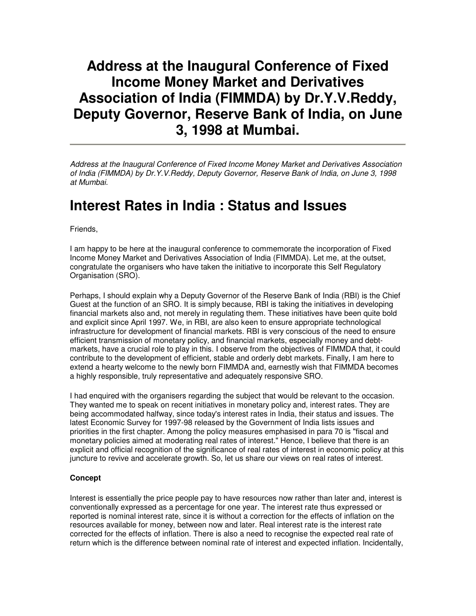# **Address at the Inaugural Conference of Fixed Income Money Market and Derivatives Association of India (FIMMDA) by Dr.Y.V.Reddy, Deputy Governor, Reserve Bank of India, on June 3, 1998 at Mumbai.**

Address at the Inaugural Conference of Fixed Income Money Market and Derivatives Association of India (FIMMDA) by Dr.Y.V.Reddy, Deputy Governor, Reserve Bank of India, on June 3, 1998 at Mumbai.

## **Interest Rates in India : Status and Issues**

Friends,

I am happy to be here at the inaugural conference to commemorate the incorporation of Fixed Income Money Market and Derivatives Association of India (FIMMDA). Let me, at the outset, congratulate the organisers who have taken the initiative to incorporate this Self Regulatory Organisation (SRO).

Perhaps, I should explain why a Deputy Governor of the Reserve Bank of India (RBI) is the Chief Guest at the function of an SRO. It is simply because, RBI is taking the initiatives in developing financial markets also and, not merely in regulating them. These initiatives have been quite bold and explicit since April 1997. We, in RBI, are also keen to ensure appropriate technological infrastructure for development of financial markets. RBI is very conscious of the need to ensure efficient transmission of monetary policy, and financial markets, especially money and debtmarkets, have a crucial role to play in this. I observe from the objectives of FIMMDA that, it could contribute to the development of efficient, stable and orderly debt markets. Finally, I am here to extend a hearty welcome to the newly born FIMMDA and, earnestly wish that FIMMDA becomes a highly responsible, truly representative and adequately responsive SRO.

I had enquired with the organisers regarding the subject that would be relevant to the occasion. They wanted me to speak on recent initiatives in monetary policy and, interest rates. They are being accommodated halfway, since today's interest rates in India, their status and issues. The latest Economic Survey for 1997-98 released by the Government of India lists issues and priorities in the first chapter. Among the policy measures emphasised in para 70 is "fiscal and monetary policies aimed at moderating real rates of interest." Hence, I believe that there is an explicit and official recognition of the significance of real rates of interest in economic policy at this juncture to revive and accelerate growth. So, let us share our views on real rates of interest.

#### **Concept**

Interest is essentially the price people pay to have resources now rather than later and, interest is conventionally expressed as a percentage for one year. The interest rate thus expressed or reported is nominal interest rate, since it is without a correction for the effects of inflation on the resources available for money, between now and later. Real interest rate is the interest rate corrected for the effects of inflation. There is also a need to recognise the expected real rate of return which is the difference between nominal rate of interest and expected inflation. Incidentally,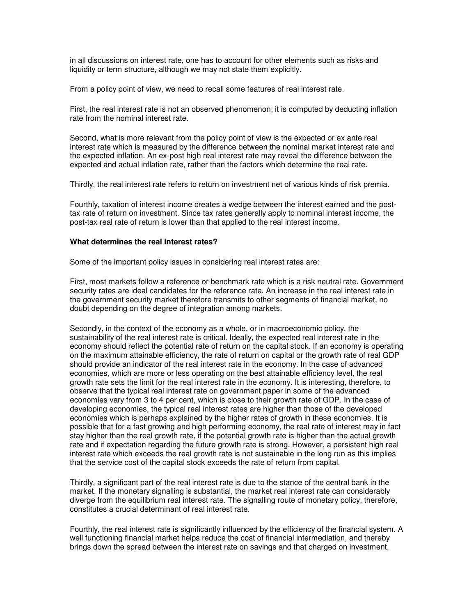in all discussions on interest rate, one has to account for other elements such as risks and liquidity or term structure, although we may not state them explicitly.

From a policy point of view, we need to recall some features of real interest rate.

First, the real interest rate is not an observed phenomenon; it is computed by deducting inflation rate from the nominal interest rate.

Second, what is more relevant from the policy point of view is the expected or ex ante real interest rate which is measured by the difference between the nominal market interest rate and the expected inflation. An ex-post high real interest rate may reveal the difference between the expected and actual inflation rate, rather than the factors which determine the real rate.

Thirdly, the real interest rate refers to return on investment net of various kinds of risk premia.

Fourthly, taxation of interest income creates a wedge between the interest earned and the posttax rate of return on investment. Since tax rates generally apply to nominal interest income, the post-tax real rate of return is lower than that applied to the real interest income.

#### **What determines the real interest rates?**

Some of the important policy issues in considering real interest rates are:

First, most markets follow a reference or benchmark rate which is a risk neutral rate. Government security rates are ideal candidates for the reference rate. An increase in the real interest rate in the government security market therefore transmits to other segments of financial market, no doubt depending on the degree of integration among markets.

Secondly, in the context of the economy as a whole, or in macroeconomic policy, the sustainability of the real interest rate is critical. Ideally, the expected real interest rate in the economy should reflect the potential rate of return on the capital stock. If an economy is operating on the maximum attainable efficiency, the rate of return on capital or the growth rate of real GDP should provide an indicator of the real interest rate in the economy. In the case of advanced economies, which are more or less operating on the best attainable efficiency level, the real growth rate sets the limit for the real interest rate in the economy. It is interesting, therefore, to observe that the typical real interest rate on government paper in some of the advanced economies vary from 3 to 4 per cent, which is close to their growth rate of GDP. In the case of developing economies, the typical real interest rates are higher than those of the developed economies which is perhaps explained by the higher rates of growth in these economies. It is possible that for a fast growing and high performing economy, the real rate of interest may in fact stay higher than the real growth rate, if the potential growth rate is higher than the actual growth rate and if expectation regarding the future growth rate is strong. However, a persistent high real interest rate which exceeds the real growth rate is not sustainable in the long run as this implies that the service cost of the capital stock exceeds the rate of return from capital.

Thirdly, a significant part of the real interest rate is due to the stance of the central bank in the market. If the monetary signalling is substantial, the market real interest rate can considerably diverge from the equilibrium real interest rate. The signalling route of monetary policy, therefore, constitutes a crucial determinant of real interest rate.

Fourthly, the real interest rate is significantly influenced by the efficiency of the financial system. A well functioning financial market helps reduce the cost of financial intermediation, and thereby brings down the spread between the interest rate on savings and that charged on investment.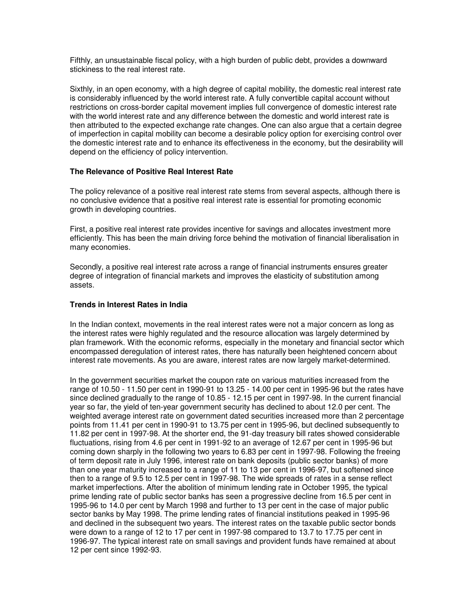Fifthly, an unsustainable fiscal policy, with a high burden of public debt, provides a downward stickiness to the real interest rate.

Sixthly, in an open economy, with a high degree of capital mobility, the domestic real interest rate is considerably influenced by the world interest rate. A fully convertible capital account without restrictions on cross-border capital movement implies full convergence of domestic interest rate with the world interest rate and any difference between the domestic and world interest rate is then attributed to the expected exchange rate changes. One can also argue that a certain degree of imperfection in capital mobility can become a desirable policy option for exercising control over the domestic interest rate and to enhance its effectiveness in the economy, but the desirability will depend on the efficiency of policy intervention.

## **The Relevance of Positive Real Interest Rate**

The policy relevance of a positive real interest rate stems from several aspects, although there is no conclusive evidence that a positive real interest rate is essential for promoting economic growth in developing countries.

First, a positive real interest rate provides incentive for savings and allocates investment more efficiently. This has been the main driving force behind the motivation of financial liberalisation in many economies.

Secondly, a positive real interest rate across a range of financial instruments ensures greater degree of integration of financial markets and improves the elasticity of substitution among assets.

### **Trends in Interest Rates in India**

In the Indian context, movements in the real interest rates were not a major concern as long as the interest rates were highly regulated and the resource allocation was largely determined by plan framework. With the economic reforms, especially in the monetary and financial sector which encompassed deregulation of interest rates, there has naturally been heightened concern about interest rate movements. As you are aware, interest rates are now largely market-determined.

In the government securities market the coupon rate on various maturities increased from the range of 10.50 - 11.50 per cent in 1990-91 to 13.25 - 14.00 per cent in 1995-96 but the rates have since declined gradually to the range of 10.85 - 12.15 per cent in 1997-98. In the current financial year so far, the yield of ten-year government security has declined to about 12.0 per cent. The weighted average interest rate on government dated securities increased more than 2 percentage points from 11.41 per cent in 1990-91 to 13.75 per cent in 1995-96, but declined subsequently to 11.82 per cent in 1997-98. At the shorter end, the 91-day treasury bill rates showed considerable fluctuations, rising from 4.6 per cent in 1991-92 to an average of 12.67 per cent in 1995-96 but coming down sharply in the following two years to 6.83 per cent in 1997-98. Following the freeing of term deposit rate in July 1996, interest rate on bank deposits (public sector banks) of more than one year maturity increased to a range of 11 to 13 per cent in 1996-97, but softened since then to a range of 9.5 to 12.5 per cent in 1997-98. The wide spreads of rates in a sense reflect market imperfections. After the abolition of minimum lending rate in October 1995, the typical prime lending rate of public sector banks has seen a progressive decline from 16.5 per cent in 1995-96 to 14.0 per cent by March 1998 and further to 13 per cent in the case of major public sector banks by May 1998. The prime lending rates of financial institutions peaked in 1995-96 and declined in the subsequent two years. The interest rates on the taxable public sector bonds were down to a range of 12 to 17 per cent in 1997-98 compared to 13.7 to 17.75 per cent in 1996-97. The typical interest rate on small savings and provident funds have remained at about 12 per cent since 1992-93.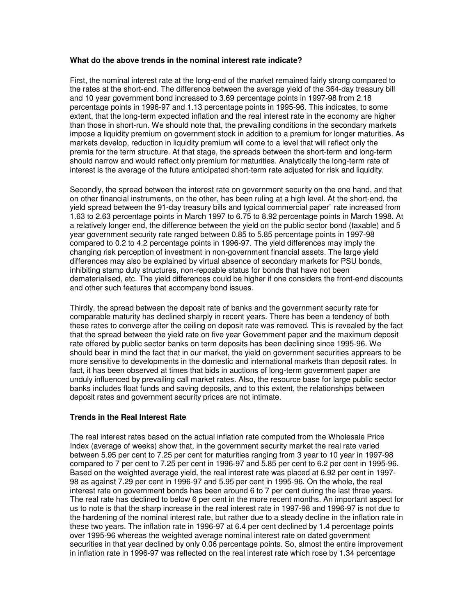## **What do the above trends in the nominal interest rate indicate?**

First, the nominal interest rate at the long-end of the market remained fairly strong compared to the rates at the short-end. The difference between the average yield of the 364-day treasury bill and 10 year government bond increased to 3.69 percentage points in 1997-98 from 2.18 percentage points in 1996-97 and 1.13 percentage points in 1995-96. This indicates, to some extent, that the long-term expected inflation and the real interest rate in the economy are higher than those in short-run. We should note that, the prevailing conditions in the secondary markets impose a liquidity premium on government stock in addition to a premium for longer maturities. As markets develop, reduction in liquidity premium will come to a level that will reflect only the premia for the term structure. At that stage, the spreads between the short-term and long-term should narrow and would reflect only premium for maturities. Analytically the long-term rate of interest is the average of the future anticipated short-term rate adjusted for risk and liquidity.

Secondly, the spread between the interest rate on government security on the one hand, and that on other financial instruments, on the other, has been ruling at a high level. At the short-end, the yield spread between the 91-day treasury bills and typical commercial paper` rate increased from 1.63 to 2.63 percentage points in March 1997 to 6.75 to 8.92 percentage points in March 1998. At a relatively longer end, the difference between the yield on the public sector bond (taxable) and 5 year government security rate ranged between 0.85 to 5.85 percentage points in 1997-98 compared to 0.2 to 4.2 percentage points in 1996-97. The yield differences may imply the changing risk perception of investment in non-government financial assets. The large yield differences may also be explained by virtual absence of secondary markets for PSU bonds, inhibiting stamp duty structures, non-repoable status for bonds that have not been dematerialised, etc. The yield differences could be higher if one considers the front-end discounts and other such features that accompany bond issues.

Thirdly, the spread between the deposit rate of banks and the government security rate for comparable maturity has declined sharply in recent years. There has been a tendency of both these rates to converge after the ceiling on deposit rate was removed. This is revealed by the fact that the spread between the yield rate on five year Government paper and the maximum deposit rate offered by public sector banks on term deposits has been declining since 1995-96. We should bear in mind the fact that in our market, the yield on government securities apprears to be more sensitive to developments in the domestic and international markets than deposit rates. In fact, it has been observed at times that bids in auctions of long-term government paper are unduly influenced by prevailing call market rates. Also, the resource base for large public sector banks includes float funds and saving deposits, and to this extent, the relationships between deposit rates and government security prices are not intimate.

#### **Trends in the Real Interest Rate**

The real interest rates based on the actual inflation rate computed from the Wholesale Price Index (average of weeks) show that, in the government security market the real rate varied between 5.95 per cent to 7.25 per cent for maturities ranging from 3 year to 10 year in 1997-98 compared to 7 per cent to 7.25 per cent in 1996-97 and 5.85 per cent to 6.2 per cent in 1995-96. Based on the weighted average yield, the real interest rate was placed at 6.92 per cent in 1997- 98 as against 7.29 per cent in 1996-97 and 5.95 per cent in 1995-96. On the whole, the real interest rate on government bonds has been around 6 to 7 per cent during the last three years. The real rate has declined to below 6 per cent in the more recent months. An important aspect for us to note is that the sharp increase in the real interest rate in 1997-98 and 1996-97 is not due to the hardening of the nominal interest rate, but rather due to a steady decline in the inflation rate in these two years. The inflation rate in 1996-97 at 6.4 per cent declined by 1.4 percentage points over 1995-96 whereas the weighted average nominal interest rate on dated government securities in that year declined by only 0.06 percentage points. So, almost the entire improvement in inflation rate in 1996-97 was reflected on the real interest rate which rose by 1.34 percentage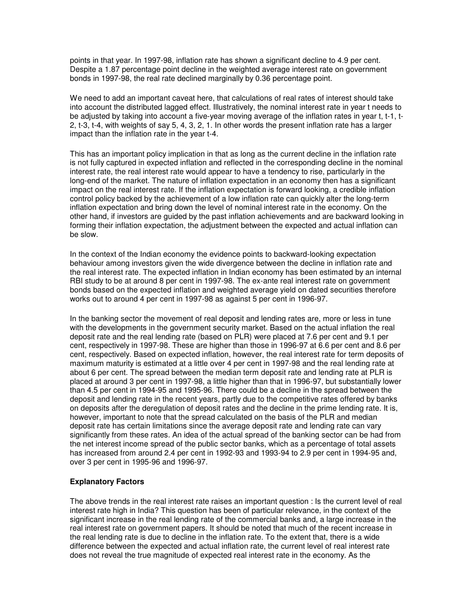points in that year. In 1997-98, inflation rate has shown a significant decline to 4.9 per cent. Despite a 1.87 percentage point decline in the weighted average interest rate on government bonds in 1997-98, the real rate declined marginally by 0.36 percentage point.

We need to add an important caveat here, that calculations of real rates of interest should take into account the distributed lagged effect. Illustratively, the nominal interest rate in year t needs to be adjusted by taking into account a five-year moving average of the inflation rates in year t, t-1, t-2, t-3, t-4, with weights of say 5, 4, 3, 2, 1. In other words the present inflation rate has a larger impact than the inflation rate in the year t-4.

This has an important policy implication in that as long as the current decline in the inflation rate is not fully captured in expected inflation and reflected in the corresponding decline in the nominal interest rate, the real interest rate would appear to have a tendency to rise, particularly in the long-end of the market. The nature of inflation expectation in an economy then has a significant impact on the real interest rate. If the inflation expectation is forward looking, a credible inflation control policy backed by the achievement of a low inflation rate can quickly alter the long-term inflation expectation and bring down the level of nominal interest rate in the economy. On the other hand, if investors are guided by the past inflation achievements and are backward looking in forming their inflation expectation, the adjustment between the expected and actual inflation can be slow.

In the context of the Indian economy the evidence points to backward-looking expectation behaviour among investors given the wide divergence between the decline in inflation rate and the real interest rate. The expected inflation in Indian economy has been estimated by an internal RBI study to be at around 8 per cent in 1997-98. The ex-ante real interest rate on government bonds based on the expected inflation and weighted average yield on dated securities therefore works out to around 4 per cent in 1997-98 as against 5 per cent in 1996-97.

In the banking sector the movement of real deposit and lending rates are, more or less in tune with the developments in the government security market. Based on the actual inflation the real deposit rate and the real lending rate (based on PLR) were placed at 7.6 per cent and 9.1 per cent, respectively in 1997-98. These are higher than those in 1996-97 at 6.6 per cent and 8.6 per cent, respectively. Based on expected inflation, however, the real interest rate for term deposits of maximum maturity is estimated at a little over 4 per cent in 1997-98 and the real lending rate at about 6 per cent. The spread between the median term deposit rate and lending rate at PLR is placed at around 3 per cent in 1997-98, a little higher than that in 1996-97, but substantially lower than 4.5 per cent in 1994-95 and 1995-96. There could be a decline in the spread between the deposit and lending rate in the recent years, partly due to the competitive rates offered by banks on deposits after the deregulation of deposit rates and the decline in the prime lending rate. It is, however, important to note that the spread calculated on the basis of the PLR and median deposit rate has certain limitations since the average deposit rate and lending rate can vary significantly from these rates. An idea of the actual spread of the banking sector can be had from the net interest income spread of the public sector banks, which as a percentage of total assets has increased from around 2.4 per cent in 1992-93 and 1993-94 to 2.9 per cent in 1994-95 and, over 3 per cent in 1995-96 and 1996-97.

#### **Explanatory Factors**

The above trends in the real interest rate raises an important question : Is the current level of real interest rate high in India? This question has been of particular relevance, in the context of the significant increase in the real lending rate of the commercial banks and, a large increase in the real interest rate on government papers. It should be noted that much of the recent increase in the real lending rate is due to decline in the inflation rate. To the extent that, there is a wide difference between the expected and actual inflation rate, the current level of real interest rate does not reveal the true magnitude of expected real interest rate in the economy. As the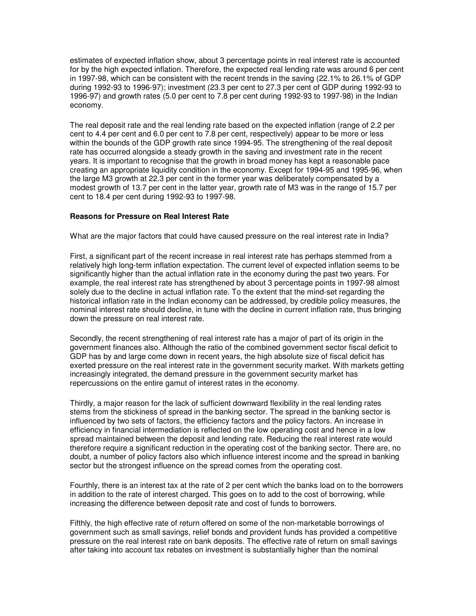estimates of expected inflation show, about 3 percentage points in real interest rate is accounted for by the high expected inflation. Therefore, the expected real lending rate was around 6 per cent in 1997-98, which can be consistent with the recent trends in the saving (22.1% to 26.1% of GDP during 1992-93 to 1996-97); investment (23.3 per cent to 27.3 per cent of GDP during 1992-93 to 1996-97) and growth rates (5.0 per cent to 7.8 per cent during 1992-93 to 1997-98) in the Indian economy.

The real deposit rate and the real lending rate based on the expected inflation (range of 2.2 per cent to 4.4 per cent and 6.0 per cent to 7.8 per cent, respectively) appear to be more or less within the bounds of the GDP growth rate since 1994-95. The strengthening of the real deposit rate has occurred alongside a steady growth in the saving and investment rate in the recent years. It is important to recognise that the growth in broad money has kept a reasonable pace creating an appropriate liquidity condition in the economy. Except for 1994-95 and 1995-96, when the large M3 growth at 22.3 per cent in the former year was deliberately compensated by a modest growth of 13.7 per cent in the latter year, growth rate of M3 was in the range of 15.7 per cent to 18.4 per cent during 1992-93 to 1997-98.

#### **Reasons for Pressure on Real Interest Rate**

What are the major factors that could have caused pressure on the real interest rate in India?

First, a significant part of the recent increase in real interest rate has perhaps stemmed from a relatively high long-term inflation expectation. The current level of expected inflation seems to be significantly higher than the actual inflation rate in the economy during the past two years. For example, the real interest rate has strengthened by about 3 percentage points in 1997-98 almost solely due to the decline in actual inflation rate. To the extent that the mind-set regarding the historical inflation rate in the Indian economy can be addressed, by credible policy measures, the nominal interest rate should decline, in tune with the decline in current inflation rate, thus bringing down the pressure on real interest rate.

Secondly, the recent strengthening of real interest rate has a major of part of its origin in the government finances also. Although the ratio of the combined government sector fiscal deficit to GDP has by and large come down in recent years, the high absolute size of fiscal deficit has exerted pressure on the real interest rate in the government security market. With markets getting increasingly integrated, the demand pressure in the government security market has repercussions on the entire gamut of interest rates in the economy.

Thirdly, a major reason for the lack of sufficient downward flexibility in the real lending rates stems from the stickiness of spread in the banking sector. The spread in the banking sector is influenced by two sets of factors, the efficiency factors and the policy factors. An increase in efficiency in financial intermediation is reflected on the low operating cost and hence in a low spread maintained between the deposit and lending rate. Reducing the real interest rate would therefore require a significant reduction in the operating cost of the banking sector. There are, no doubt, a number of policy factors also which influence interest income and the spread in banking sector but the strongest influence on the spread comes from the operating cost.

Fourthly, there is an interest tax at the rate of 2 per cent which the banks load on to the borrowers in addition to the rate of interest charged. This goes on to add to the cost of borrowing, while increasing the difference between deposit rate and cost of funds to borrowers.

Fifthly, the high effective rate of return offered on some of the non-marketable borrowings of government such as small savings, relief bonds and provident funds has provided a competitive pressure on the real interest rate on bank deposits. The effective rate of return on small savings after taking into account tax rebates on investment is substantially higher than the nominal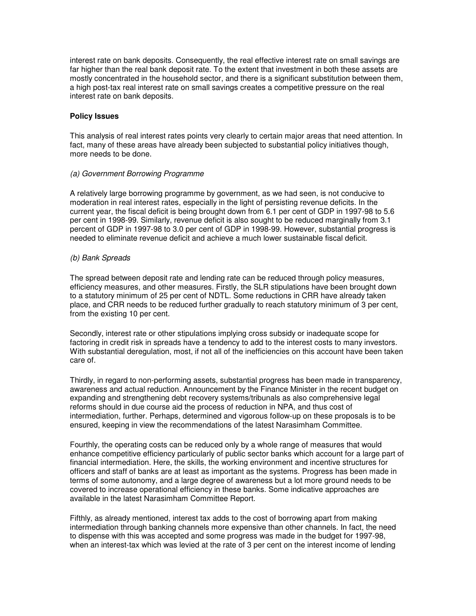interest rate on bank deposits. Consequently, the real effective interest rate on small savings are far higher than the real bank deposit rate. To the extent that investment in both these assets are mostly concentrated in the household sector, and there is a significant substitution between them, a high post-tax real interest rate on small savings creates a competitive pressure on the real interest rate on bank deposits.

### **Policy Issues**

This analysis of real interest rates points very clearly to certain major areas that need attention. In fact, many of these areas have already been subjected to substantial policy initiatives though, more needs to be done.

## (a) Government Borrowing Programme

A relatively large borrowing programme by government, as we had seen, is not conducive to moderation in real interest rates, especially in the light of persisting revenue deficits. In the current year, the fiscal deficit is being brought down from 6.1 per cent of GDP in 1997-98 to 5.6 per cent in 1998-99. Similarly, revenue deficit is also sought to be reduced marginally from 3.1 percent of GDP in 1997-98 to 3.0 per cent of GDP in 1998-99. However, substantial progress is needed to eliminate revenue deficit and achieve a much lower sustainable fiscal deficit.

## (b) Bank Spreads

The spread between deposit rate and lending rate can be reduced through policy measures, efficiency measures, and other measures. Firstly, the SLR stipulations have been brought down to a statutory minimum of 25 per cent of NDTL. Some reductions in CRR have already taken place, and CRR needs to be reduced further gradually to reach statutory minimum of 3 per cent, from the existing 10 per cent.

Secondly, interest rate or other stipulations implying cross subsidy or inadequate scope for factoring in credit risk in spreads have a tendency to add to the interest costs to many investors. With substantial deregulation, most, if not all of the inefficiencies on this account have been taken care of.

Thirdly, in regard to non-performing assets, substantial progress has been made in transparency, awareness and actual reduction. Announcement by the Finance Minister in the recent budget on expanding and strengthening debt recovery systems/tribunals as also comprehensive legal reforms should in due course aid the process of reduction in NPA, and thus cost of intermediation, further. Perhaps, determined and vigorous follow-up on these proposals is to be ensured, keeping in view the recommendations of the latest Narasimham Committee.

Fourthly, the operating costs can be reduced only by a whole range of measures that would enhance competitive efficiency particularly of public sector banks which account for a large part of financial intermediation. Here, the skills, the working environment and incentive structures for officers and staff of banks are at least as important as the systems. Progress has been made in terms of some autonomy, and a large degree of awareness but a lot more ground needs to be covered to increase operational efficiency in these banks. Some indicative approaches are available in the latest Narasimham Committee Report.

Fifthly, as already mentioned, interest tax adds to the cost of borrowing apart from making intermediation through banking channels more expensive than other channels. In fact, the need to dispense with this was accepted and some progress was made in the budget for 1997-98, when an interest-tax which was levied at the rate of 3 per cent on the interest income of lending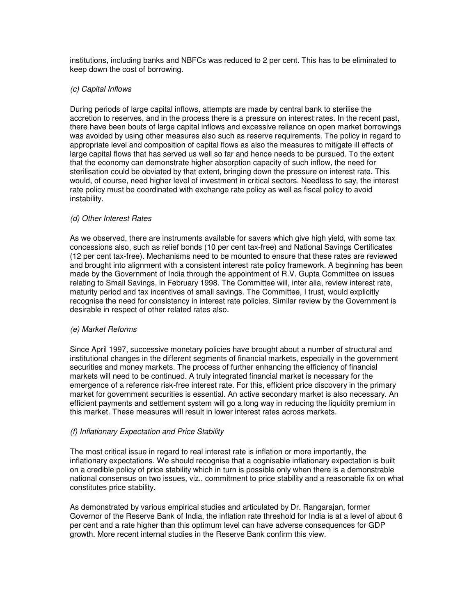institutions, including banks and NBFCs was reduced to 2 per cent. This has to be eliminated to keep down the cost of borrowing.

## (c) Capital Inflows

During periods of large capital inflows, attempts are made by central bank to sterilise the accretion to reserves, and in the process there is a pressure on interest rates. In the recent past, there have been bouts of large capital inflows and excessive reliance on open market borrowings was avoided by using other measures also such as reserve requirements. The policy in regard to appropriate level and composition of capital flows as also the measures to mitigate ill effects of large capital flows that has served us well so far and hence needs to be pursued. To the extent that the economy can demonstrate higher absorption capacity of such inflow, the need for sterilisation could be obviated by that extent, bringing down the pressure on interest rate. This would, of course, need higher level of investment in critical sectors. Needless to say, the interest rate policy must be coordinated with exchange rate policy as well as fiscal policy to avoid instability.

## (d) Other Interest Rates

As we observed, there are instruments available for savers which give high yield, with some tax concessions also, such as relief bonds (10 per cent tax-free) and National Savings Certificates (12 per cent tax-free). Mechanisms need to be mounted to ensure that these rates are reviewed and brought into alignment with a consistent interest rate policy framework. A beginning has been made by the Government of India through the appointment of R.V. Gupta Committee on issues relating to Small Savings, in February 1998. The Committee will, inter alia, review interest rate, maturity period and tax incentives of small savings. The Committee, I trust, would explicitly recognise the need for consistency in interest rate policies. Similar review by the Government is desirable in respect of other related rates also.

#### (e) Market Reforms

Since April 1997, successive monetary policies have brought about a number of structural and institutional changes in the different segments of financial markets, especially in the government securities and money markets. The process of further enhancing the efficiency of financial markets will need to be continued. A truly integrated financial market is necessary for the emergence of a reference risk-free interest rate. For this, efficient price discovery in the primary market for government securities is essential. An active secondary market is also necessary. An efficient payments and settlement system will go a long way in reducing the liquidity premium in this market. These measures will result in lower interest rates across markets.

## (f) Inflationary Expectation and Price Stability

The most critical issue in regard to real interest rate is inflation or more importantly, the inflationary expectations. We should recognise that a cognisable inflationary expectation is built on a credible policy of price stability which in turn is possible only when there is a demonstrable national consensus on two issues, viz., commitment to price stability and a reasonable fix on what constitutes price stability.

As demonstrated by various empirical studies and articulated by Dr. Rangarajan, former Governor of the Reserve Bank of India, the inflation rate threshold for India is at a level of about 6 per cent and a rate higher than this optimum level can have adverse consequences for GDP growth. More recent internal studies in the Reserve Bank confirm this view.